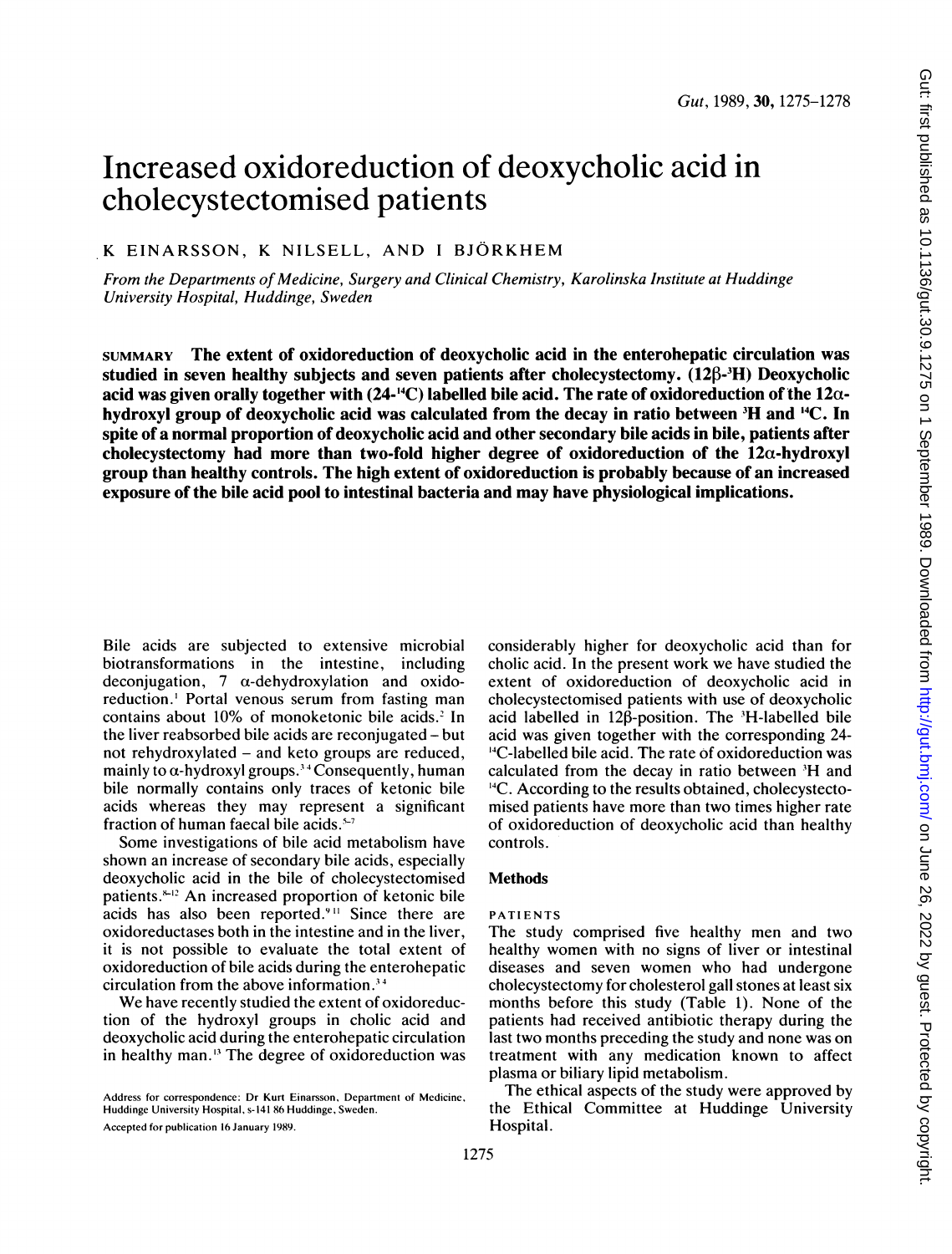# Increased oxidoreduction of deoxycholic acid in cholecystectomised patients

# K EINARSSON, K NILSELL, AND <sup>I</sup> BJORKHEM

From the Departments of Medicine, Surgery and Clinical Chemistry, Karolinska Institute at Huddinge University Hospital, Huddinge, Sweden

SUMMARY The extent of oxidoreduction of deoxycholic acid in the enterohepatic circulation was studied in seven healthy subjects and seven patients after cholecystectomy.  $(12\beta$ - $\frac{3H}{12})$  Deoxycholic acid was given orally together with  $(24-{}^{14}C)$  labelled bile acid. The rate of oxidoreduction of the  $12\alpha$ hydroxyl group of deoxycholic acid was calculated from the decay in ratio between <sup>3</sup>H and <sup>14</sup>C. In spite of a normal proportion of deoxycholic acid and other secondary bile acids in bile, patients after cholecystectomy had more than two-fold higher degree of oxidoreduction of the  $12\alpha$ -hydroxyl group than healthy controls. The high extent of oxidoreduction is probably because of an increased exposure of the bile acid pool to intestinal bacteria and may have physiological implications.

Bile acids are subjected to extensive microbial biotransformations in the intestine, including deconjugation,  $7 \alpha$ -dehydroxylation and oxidoreduction.' Portal venous serum from fasting man contains about 10% of monoketonic bile acids.' In the liver reabsorbed bile acids are reconjugated - but not rehydroxylated - and keto groups are reduced, mainly to  $\alpha$ -hydroxyl groups.<sup>34</sup> Consequently, human bile normally contains only traces of ketonic bile acids whereas they may represent a significant fraction of human faecal bile acids. $5-7$ 

Some investigations of bile acid metabolism have shown an increase of secondary bile acids, especially deoxycholic acid in the bile of cholecystectomised patients.<sup>8-12</sup> An increased proportion of ketonic bile acids has also been reported.<sup>911</sup> Since there are oxidoreductases both in the intestine and in the liver, it is not possible to evaluate the total extent of oxidoreduction of bile acids during the enterohepatic circulation from the above information.'4

We have recently studied the extent of oxidoreduction of the hydroxyl groups in cholic acid and deoxycholic acid during the enterohepatic circulation in healthy man." The degree of oxidoreduction was

Accepted for publication 16 January 1989.

considerably higher for deoxycholic acid than for cholic acid. In the present work we have studied the extent of oxidoreduction of deoxycholic acid in cholecystectomised patients with use of deoxycholic acid labelled in  $12\beta$ -position. The 'H-labelled bile acid was given together with the corresponding 24- '4C-labelled bile acid. The rate of oxidoreduction was calculated from the decay in ratio between 'H and <sup>14</sup>C. According to the results obtained, cholecystectomised patients have more than two times higher rate of oxidoreduction of deoxycholic acid than healthy controls.

## Methods

## PATIENTS

The study comprised five healthy men and two healthy women with no signs of liver or intestinal diseases and seven women who had undergone cholecystectomy for cholesterol gall stones at least six months before this study (Table 1). None of the patients had received antibiotic therapy during the last two months preceding the study and none was on treatment with any medication known to affect plasma or biliary lipid metabolism.

The ethical aspects of the study were approved by the Ethical Committee at Huddinge University Hospital.

Address for correspondence: Dr Kurt Einarsson, Department of Medicine, Huddinge University Hospital, s-141 86 Huddinge, Sweden.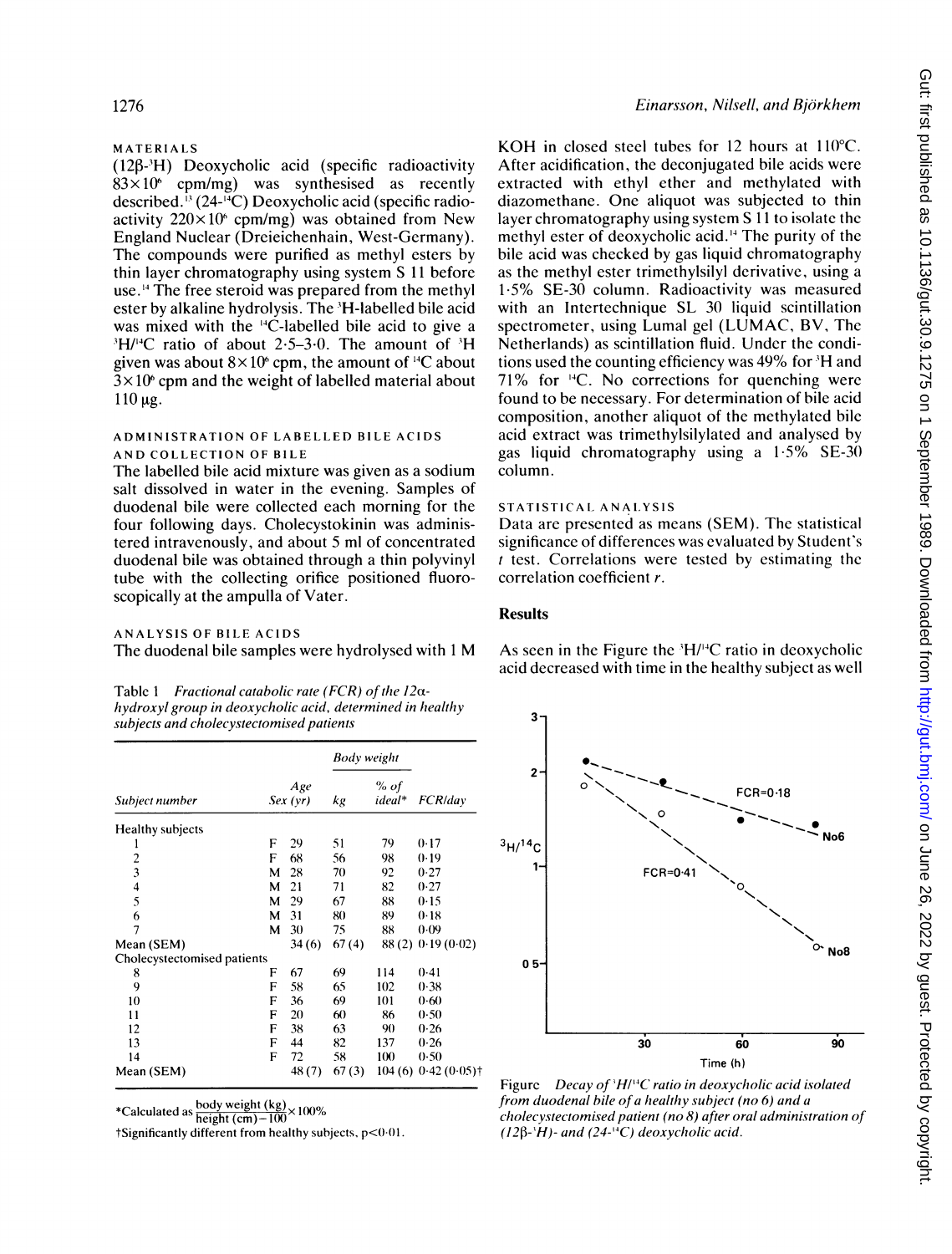## MATERIALS

 $(128 - H)$  Deoxycholic acid (specific radioactivity  $83\times10^6$  cpm/mg) was synthesised as recently described.<sup>13</sup> (24-<sup>14</sup>C) Deoxycholic acid (specific radioactivity  $220 \times 10^6$  cpm/mg) was obtained from New England Nuclear (Dreieichenhain, West-Germany). The compounds were purified as methyl esters by thin layer chromatography using system S 11 before use.'4 The free steroid was prepared from the methyl ester by alkaline hydrolysis. The <sup>3</sup>H-labelled bile acid was mixed with the <sup>14</sup>C-labelled bile acid to give a  $H/I$ <sup>4</sup>C ratio of about 2.5–3.0. The amount of  $H$ given was about  $8 \times 10^6$  cpm, the amount of <sup>14</sup>C about  $3 \times 10^6$  cpm and the weight of labelled material about  $110 \mu g$ .

#### ADMINISTRATION OF LABELLED BILE ACIDS AND COLLECTION OF BILE

The labelled bile acid mixture was given as a sodium salt dissolved in water in the evening. Samples of duodenal bile were collected each morning for the four following days. Cholecystokinin was administered intravenously, and about 5 ml of concentrated duodenal bile was obtained through a thin polyvinyl tube with the collecting orifice positioned fluoroscopically at the ampulla of Vater.

#### ANALYSIS OF BILE ACIDS

The duodenal bile samples were hydrolysed with <sup>1</sup> M

| Table 1 Fractional catabolic rate (FCR) of the $12\alpha$ - |
|-------------------------------------------------------------|
| hydroxyl group in deoxycholic acid, determined in healthy   |
| subjects and cholecystectomised patients                    |

|                             |   |                | Body weight |                |                |  |
|-----------------------------|---|----------------|-------------|----------------|----------------|--|
| Subject number              |   | Age<br>Sex(vr) | kg          | % of<br>ideal* | FCR/day        |  |
| Healthy subjects            |   |                |             |                |                |  |
| 1                           | F | 29             | 51          | 79             | 0.17           |  |
|                             | F | 68             | 56          | 98             | 0.19           |  |
| $\frac{2}{3}$               | М | 28             | 70          | 92             | 0.27           |  |
| $\overline{\mathbf{4}}$     | м | 21             | 71          | 82             | 0.27           |  |
| 5                           | м | 29             | 67          | 88             | 0.15           |  |
| 6                           | м | 31             | 80          | 89             | 0.18           |  |
| 7                           | м | 30             | 75          | 88             | 0.09           |  |
| Mean (SEM)                  |   | 34(6)          | 67(4)       | 88(2)          | 0.19(0.02)     |  |
| Cholecystectomised patients |   |                |             |                |                |  |
| 8                           | F | 67             | 69          | 114            | 0.41           |  |
| 9                           | F | 58             | 65          | 102            | 0.38           |  |
| 10                          | F | 36             | 69          | 101            | 0.60           |  |
| 11                          | F | 20             | 60          | 86             | 0.50           |  |
| 12                          | F | 38             | 63          | 90             | 0.26           |  |
| 13                          | F | 44             | 82          | 137            | 0.26           |  |
| 14                          | F | 72             | 58          | 100            | 0.50           |  |
| Mean (SEM)                  |   | 48(7)          | 67(3)       | 104(6)         | $0.42(0.05)$ † |  |

\*Calculated as  $\frac{\text{body weight (kg)}}{\text{height (cm)}-100}$  × 100%

tSignificantly different from healthy subjects, p<0.01.

#### Einarsson, Nilsell, and Björkhem

KOH in closed steel tubes for 12 hours at  $110^{\circ}$ C. After acidification, the deconjugated bile acids were extracted with ethyl ether and methylated with diazomethane. One aliquot was subjected to thin layer chromatography using system S 11 to isolate the methyl ester of deoxycholic acid.'4 The purity of the bile acid was checked by gas liquid chromatography as the methyl ester trimethylsilyl derivative, using a 15% SE-30 column. Radioactivity was measured with an Intertechnique SL 30 liquid scintillation spectrometer, using Lumal gel (LUMAC, BV, The Netherlands) as scintillation fluid. Under the conditions used the counting efficiency was 49% for <sup>3</sup>H and 71% for 14C. No corrections for quenching were found to be necessary. For determination of bile acid composition, another aliquot of the methylated bile acid extract was trimethylsilylated and analysed by gas liquid chromatography using a  $1.5\%$  SE-30 column.

## STATISTICAL ANALYSIS

Data are presented as means (SEM). The statistical significance of differences was evaluated by Student's  $t$  test. Correlations were tested by estimating the correlation coefficient r.

## **Results**

As seen in the Figure the  $H/H^4C$  ratio in deoxycholic acid decreased with time in the healthy subject as well



Figure Decay of  $H/I^4C$  ratio in deoxycholic acid isolated from duodenal bile of a healthy subject (no 6) and a cholecystectomised patient (no 8) after oral administration of  $(12\beta^{-1}H)$ - and  $(24$ -<sup>14</sup>C) deoxycholic acid.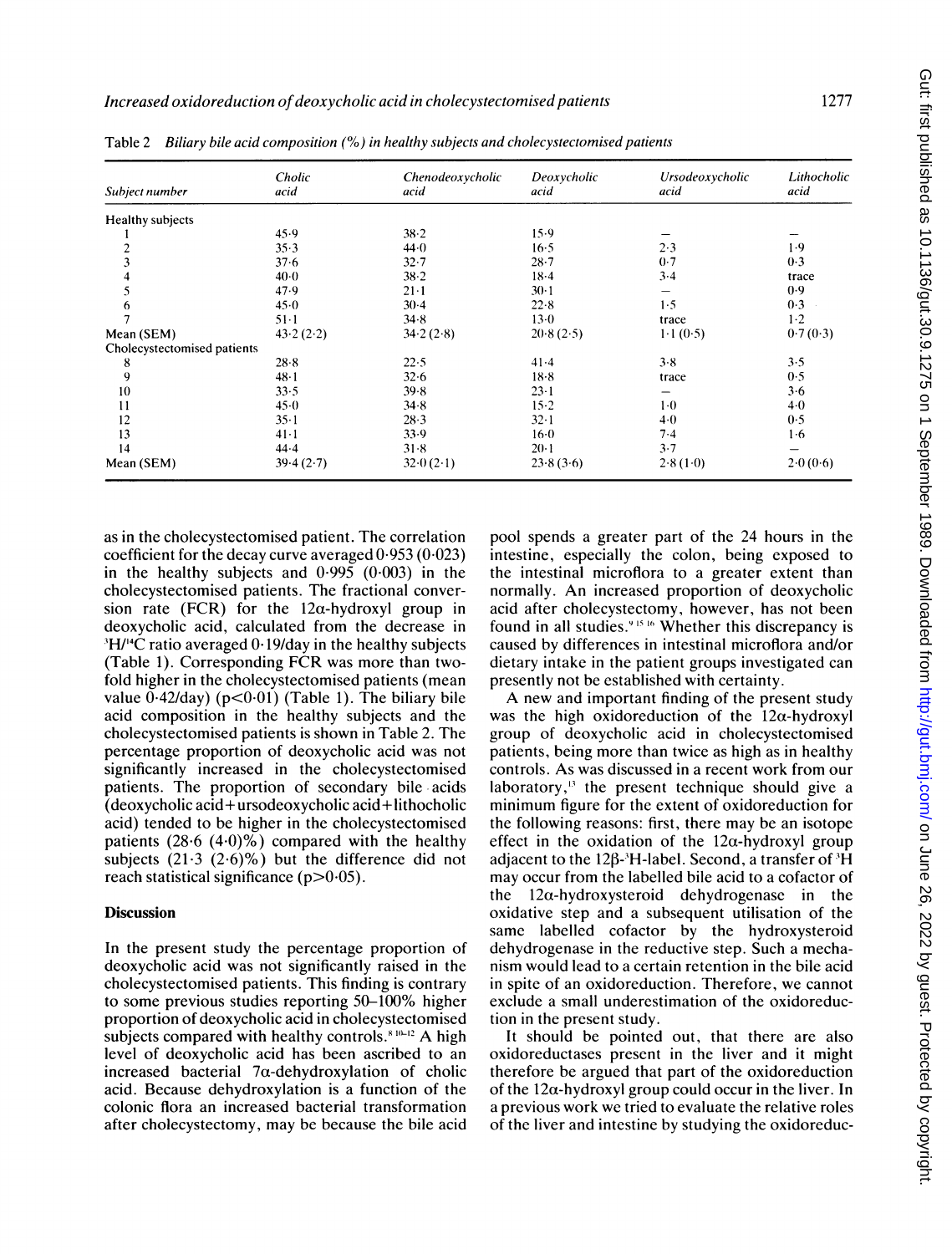| Subject number              | Cholic<br>acid | Chenodeoxycholic<br>acid | Deoxycholic<br>acid | Ursodeoxycholic<br>acid | Lithocholic<br>acid |
|-----------------------------|----------------|--------------------------|---------------------|-------------------------|---------------------|
| Healthy subjects            |                |                          |                     |                         |                     |
|                             | 45.9           | $38 - 2$                 | 15.9                |                         |                     |
| 2                           | 35.3           | 44.0                     | $16-5$              | 2.3                     | 1.9                 |
| 3                           | 37.6           | $32 - 7$                 | $28 - 7$            | 0.7                     | 0.3                 |
| 4                           | $40-0$         | $38 - 2$                 | $18-4$              | $3 - 4$                 | trace               |
| 5                           | 47.9           | $21 - 1$                 | $30-1$              |                         | 0.9                 |
| 6                           | 45.0           | $30-4$                   | 22.8                | 1.5                     | 0.3                 |
|                             | $51-1$         | 34.8                     | $13-0$              | trace                   | $1-2$               |
| Mean (SEM)                  | 43.2(2.2)      | 34.2(2.8)                | 20.8(2.5)           | 1.1(0.5)                | 0.7(0.3)            |
| Cholecystectomised patients |                |                          |                     |                         |                     |
| 8                           | 28.8           | 22.5                     | 41.4                | 3.8                     | 3.5                 |
| 9                           | $48 - 1$       | 32.6                     | $18-8$              | trace                   | 0.5                 |
| 10                          | 33.5           | 39.8                     | $23 - 1$            |                         | 3.6                 |
| 11                          | $45-0$         | 34.8                     | $15-2$              | $1-0$                   | $4-0$               |
| 12                          | $35 - 1$       | 28.3                     | $32 - 1$            | 40                      | 0.5                 |
| 13                          | $41-1$         | 33.9                     | $16-0$              | 7.4                     | 1·6                 |
| 14                          | $44 - 4$       | 31.8                     | $20 - 1$            | 3.7                     |                     |
| Mean (SEM)                  | 39.4(2.7)      | 32.0(2.1)                | 23.8(3.6)           | 2.8(1.0)                | 2.0(0.6)            |

Table 2 Biliary bile acid composition (%) in healthy subjects and cholecystectomised patients

as in the cholecystectomised patient. The correlation coefficient for the decay curve averaged 0 953 (0.023) in the healthy subjects and  $0.995$  ( $0.003$ ) in the cholecystectomised patients. The fractional conversion rate (FCR) for the  $12\alpha$ -hydroxyl group in deoxycholic acid, calculated from the decrease in <sup>3</sup>H/<sup>14</sup>C ratio averaged 0.19/day in the healthy subjects (Table 1). Corresponding FCR was more than twofold higher in the cholecystectomised patients (mean value  $0.42$ /day) (p< $0.01$ ) (Table 1). The biliary bile acid composition in the healthy subjects and the cholecystectomised patients is shown in Table 2. The percentage proportion of deoxycholic acid was not significantly increased in the cholecystectomised patients. The proportion of secondary bile acids (deoxycholic acid+ursodeoxycholic acid+lithocholic acid) tended to be higher in the cholecystectomised patients  $(28.6 \ (4.0)\%)$  compared with the healthy subjects  $(21.3 (2.6)%)$  but the difference did not reach statistical significance  $(p>0.05)$ .

## **Discussion**

In the present study the percentage proportion of deoxycholic acid was not significantly raised in the cholecystectomised patients. This finding is contrary to some previous studies reporting 50-100% higher proportion of deoxycholic acid in cholecystectomised subjects compared with healthy controls.<sup>8 10-12</sup> A high level of deoxycholic acid has been ascribed to an increased bacterial 7a-dehydroxylation of cholic acid. Because dehydroxylation is a function of the colonic flora an increased bacterial transformation after cholecystectomy, may be because the bile acid pool spends a greater part of the 24 hours in the intestine, especially the colon, being exposed to the intestinal microflora to a greater extent than normally. An increased proportion of deoxycholic acid after cholecystectomy, however, has not been found in all studies.<sup>915</sup><sup>16</sup> Whether this discrepancy is caused by differences in intestinal microflora and/or dietary intake in the patient groups investigated can presently not be established with certainty.

A new and important finding of the present study was the high oxidoreduction of the  $12\alpha$ -hydroxyl group of deoxycholic acid in cholecystectomised patients, being more than twice as high as in healthy controls. As was discussed in a recent work from our laboratory, $^{13}$  the present technique should give a minimum figure for the extent of oxidoreduction for the following reasons: first, there may be an isotope effect in the oxidation of the  $12\alpha$ -hydroxyl group adjacent to the 12 $\beta$ -'H-label. Second, a transfer of 'H may occur from the labelled bile acid to a cofactor of the  $12\alpha$ -hydroxysteroid dehydrogenase in the oxidative step and a subsequent utilisation of the same labelled cofactor by the hydroxysteroid dehydrogenase in the reductive step. Such a mechanism would lead to a certain retention in the bile acid in spite of an oxidoreduction. Therefore, we cannot exclude a small underestimation of the oxidoreduction in the present study.

It should be pointed out, that there are also oxidoreductases present in the liver and it might therefore be argued that part of the oxidoreduction of the  $12\alpha$ -hydroxyl group could occur in the liver. In a previous work we tried to evaluate the relative roles of the liver and intestine by studying the oxidoreduc